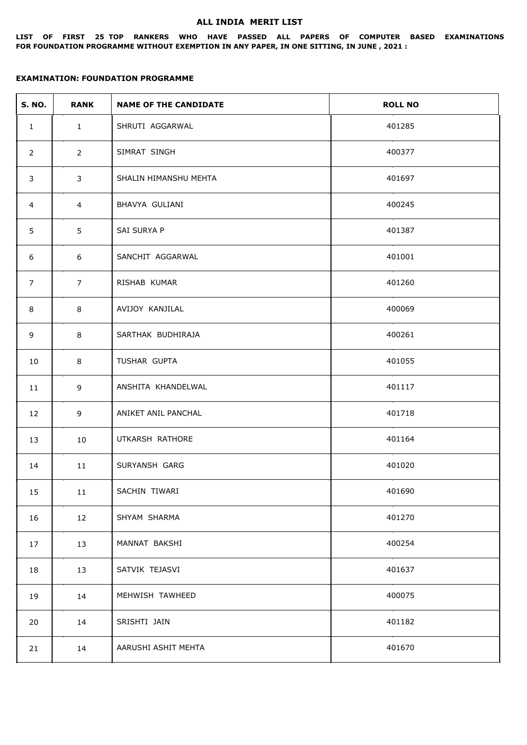#### **ALL INDIA MERIT LIST**

**LIST OF FIRST 25 TOP RANKERS WHO HAVE PASSED ALL PAPERS OF COMPUTER BASED EXAMINATIONS FOR FOUNDATION PROGRAMME WITHOUT EXEMPTION IN ANY PAPER, IN ONE SITTING, IN JUNE , 2021 :**

| <b>S. NO.</b>  | <b>RANK</b>    | <b>NAME OF THE CANDIDATE</b> | <b>ROLL NO</b> |
|----------------|----------------|------------------------------|----------------|
| $\mathbf{1}$   | $\mathbf{1}$   | SHRUTI AGGARWAL              | 401285         |
| $\overline{2}$ | $\overline{2}$ | SIMRAT SINGH                 | 400377         |
| $\mathbf{3}$   | 3              | SHALIN HIMANSHU MEHTA        | 401697         |
| $\overline{4}$ | $\overline{4}$ | BHAVYA GULIANI               | 400245         |
| 5              | 5              | SAI SURYA P                  | 401387         |
| 6              | 6              | SANCHIT AGGARWAL             | 401001         |
| 7              | $\overline{7}$ | RISHAB KUMAR                 | 401260         |
| 8              | 8              | AVIJOY KANJILAL              | 400069         |
| 9              | 8              | SARTHAK BUDHIRAJA            | 400261         |
| 10             | 8              | TUSHAR GUPTA                 | 401055         |
| 11             | 9              | ANSHITA KHANDELWAL           | 401117         |
| 12             | 9              | ANIKET ANIL PANCHAL          | 401718         |
| 13             | 10             | UTKARSH RATHORE              | 401164         |
| 14             | 11             | SURYANSH GARG                | 401020         |
| 15             | 11             | SACHIN TIWARI                | 401690         |
| 16             | 12             | SHYAM SHARMA                 | 401270         |
| 17             | 13             | MANNAT BAKSHI                | 400254         |
| 18             | 13             | SATVIK TEJASVI               | 401637         |
| 19             | 14             | MEHWISH TAWHEED              | 400075         |
| 20             | 14             | SRISHTI JAIN                 | 401182         |
| 21             | 14             | AARUSHI ASHIT MEHTA          | 401670         |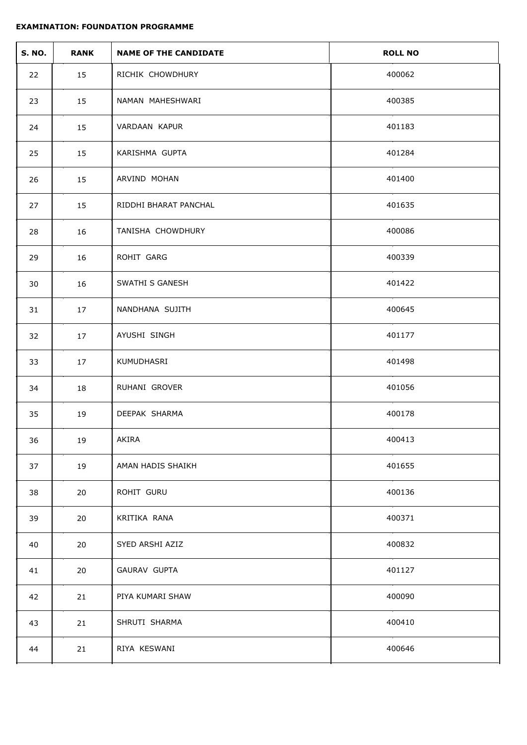| <b>S. NO.</b> | <b>RANK</b> | <b>NAME OF THE CANDIDATE</b> | <b>ROLL NO</b> |
|---------------|-------------|------------------------------|----------------|
| 22            | 15          | RICHIK CHOWDHURY             | 400062         |
| 23            | 15          | NAMAN MAHESHWARI             | 400385         |
| 24            | 15          | VARDAAN KAPUR                | 401183         |
| 25            | 15          | KARISHMA GUPTA               | 401284         |
| 26            | 15          | ARVIND MOHAN                 | 401400         |
| 27            | 15          | RIDDHI BHARAT PANCHAL        | 401635         |
| 28            | 16          | TANISHA CHOWDHURY            | 400086         |
| 29            | 16          | ROHIT GARG                   | 400339         |
| 30            | 16          | SWATHI S GANESH              | 401422         |
| 31            | 17          | NANDHANA SUJITH              | 400645         |
| 32            | 17          | AYUSHI SINGH                 | 401177         |
| 33            | 17          | KUMUDHASRI                   | 401498         |
| 34            | 18          | RUHANI GROVER                | 401056         |
| 35            | 19          | DEEPAK SHARMA                | 400178         |
| 36            | 19          | AKIRA                        | 400413         |
| 37            | 19          | AMAN HADIS SHAIKH            | 401655         |
| 38            | 20          | ROHIT GURU                   | 400136         |
| 39            | 20          | KRITIKA RANA                 | 400371         |
| 40            | 20          | SYED ARSHI AZIZ              | 400832         |
| 41            | 20          | GAURAV GUPTA                 | 401127         |
| 42            | 21          | PIYA KUMARI SHAW             | 400090         |
| 43            | 21          | SHRUTI SHARMA                | 400410         |
| 44            | 21          | RIYA KESWANI                 | 400646         |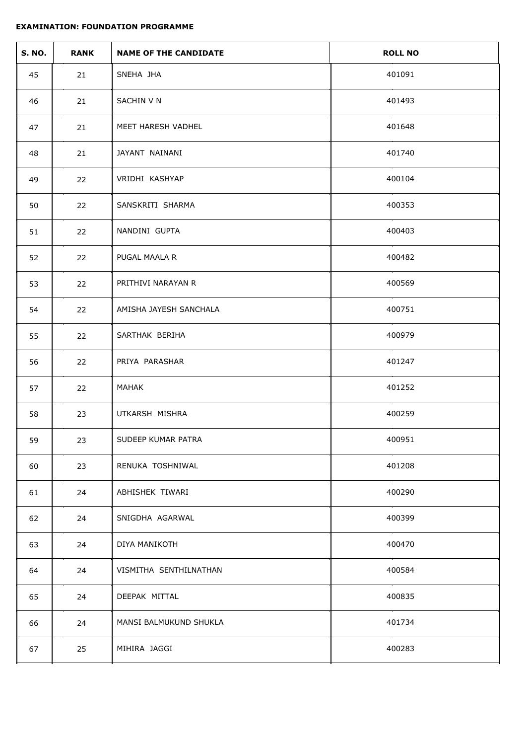| <b>S. NO.</b> | <b>RANK</b> | <b>NAME OF THE CANDIDATE</b> | <b>ROLL NO</b> |
|---------------|-------------|------------------------------|----------------|
| 45            | 21          | SNEHA JHA                    | 401091         |
| 46            | 21          | SACHIN V N                   | 401493         |
| 47            | 21          | MEET HARESH VADHEL           | 401648         |
| 48            | 21          | JAYANT NAINANI               | 401740         |
| 49            | 22          | VRIDHI KASHYAP               | 400104         |
| 50            | 22          | SANSKRITI SHARMA             | 400353         |
| 51            | 22          | NANDINI GUPTA                | 400403         |
| 52            | 22          | PUGAL MAALA R                | 400482         |
| 53            | 22          | PRITHIVI NARAYAN R           | 400569         |
| 54            | 22          | AMISHA JAYESH SANCHALA       | 400751         |
| 55            | 22          | SARTHAK BERIHA               | 400979         |
| 56            | 22          | PRIYA PARASHAR               | 401247         |
| 57            | 22          | MAHAK                        | 401252         |
| 58            | 23          | UTKARSH MISHRA               | 400259         |
| 59            | 23          | SUDEEP KUMAR PATRA           | 400951         |
| 60            | 23          | RENUKA TOSHNIWAL             | 401208         |
| 61            | 24          | ABHISHEK TIWARI              | 400290         |
| 62            | 24          | SNIGDHA AGARWAL              | 400399         |
| 63            | 24          | DIYA MANIKOTH                | 400470         |
| 64            | 24          | VISMITHA SENTHILNATHAN       | 400584         |
| 65            | 24          | DEEPAK MITTAL                | 400835         |
| 66            | 24          | MANSI BALMUKUND SHUKLA       | 401734         |
| 67            | 25          | MIHIRA JAGGI                 | 400283         |